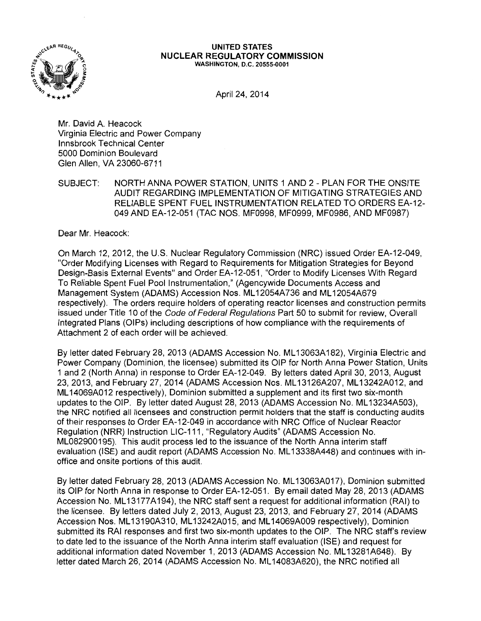

#### **UNITED STATES NUCLEAR REGULATORY COMMISSION**  WASHINGTON, D.C. 20555-0001

April 24, 2014

Mr. David A. Heacock Virginia Electric and Power Company lnnsbrook Technical Center 5000 Dominion Boulevard Glen Allen, VA 23060-6711

SUBJECT: NORTH ANNA POWER STATION, UNITS 1 AND 2- PLAN FOR THE ONSITE AUDIT REGARDING IMPLEMENTATION OF MITIGATING STRATEGIES AND RELIABLE SPENT FUEL INSTRUMENTATION RELATED TO ORDERS EA-12- 049 AND EA-12-051 (TAC NOS. MF0998, MF0999, MF0986, AND MF0987)

Dear Mr. Heacock:

On March 12, 2012, the U.S. Nuclear Regulatory Commission (NRC) issued Order EA-12-049, "Order Modifying Licenses with Regard to Requirements for Mitigation Strategies for Beyond Design-Basis External Events" and Order EA-12-051, "Order to Modify Licenses With Regard To Reliable Spent Fuel Pool Instrumentation," (Agencywide Documents Access and Management System (ADAMS) Accession Nos. ML12054A736 and ML12054A679 respectively). The orders require holders of operating reactor licenses and construction permits issued under Title 10 of the Code of Federal Regulations Part 50 to submit for review, Overall Integrated Plans (OIPs) including descriptions of how compliance with the requirements of Attachment 2 of each order will be achieved.

By letter dated February 28, 2013 (ADAMS Accession No. ML13063A182), Virginia Electric and Power Company (Dominion, the licensee) submitted its OIP for North Anna Power Station, Units 1 and 2 (North Anna) in response to Order EA-12-049. By letters dated April 30, 2013, August 23, 2013, and February 27, 2014 (ADAMS Accession Nos. ML 13126A207, ML 13242A012, and ML 14069A012 respectively), Dominion submitted a supplement and its first two six-month updates to the OIP. By letter dated August 28, 2013 (ADAMS Accession No. ML13234A503), the NRC notified all licensees and construction permit holders that the staff is conducting audits of their responses to Order EA-12-049 in accordance with NRC Office of Nuclear Reactor Regulation (NRR) Instruction LIC-111, "Regulatory Audits" (ADAMS Accession No. ML082900195). This audit process led to the issuance of the North Anna interim staff evaluation (ISE) and audit report (ADAMS Accession No. ML 13338A448) and continues with inoffice and onsite portions of this audit.

By letter dated February 28, 2013 (ADAMS Accession No. ML 13063A017), Dominion submitted its OIP for North Anna in response to Order EA-12-051. By email dated May 28, 2013 (ADAMS Accession No. ML13177A194), the NRC staff sent a request for additional information (RAI) to the licensee. By letters dated July 2, 2013, August 23, 2013, and February 27, 2014 (ADAMS Accession Nos. ML 13190A310, ML 13242A015, and ML 14069A009 respectively), Dominion submitted its RAI responses and first two six-month updates to the OIP. The NRC staff's review to date led to the issuance of the North Anna interim staff evaluation (ISE) and request for additional information dated November 1, 2013 (ADAMS Accession No. ML13281A648). By letter dated March 26, 2014 (ADAMS Accession No. ML 14083A620), the NRC notified all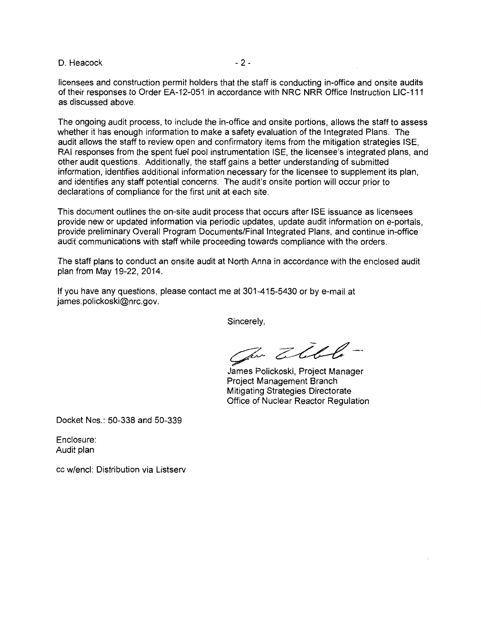$D.$  Heacock  $-2-$ 

licensees and construction permit holders that the staff is conducting in-office and onsite audits of their responses to Order EA-12-051 in accordance with NRC NRR Office Instruction LIC-111 as discussed above.

The ongoing audit process, to include the in-office and onsite portions, allows the staff to assess whether it has enough information to make a safety evaluation of the Integrated Plans. The audit allows the staff to review open and confirmatory items from the mitigation strategies ISE, RAI responses from the spent fuel pool instrumentation ISE, the licensee's integrated plans, and other audit questions. Additionally, the staff gains a better understanding of submitted information, identifies additional information necessary for the licensee to supplement its plan, and identifies any staff potential concerns. The audit's onsite portion will occur prior to declarations of compliance for the first unit at each site.

This document outlines the on-site audit process that occurs after ISE issuance as licensees provide new or updated information via periodic updates, update audit information on e-portals, provide preliminary Overall Program Documents/Final Integrated Plans, and continue in-office audit communications with staff while proceeding towards compliance with the orders.

The staff plans to conduct an onsite audit at North Anna in accordance with the enclosed audit plan from May 19-22,2014.

If you have any questions, please contact me at 301-415-5430 or by e-mail at james.polickoski@nrc.gov.

Sincerely,

Ju Zible-

James Polickoski, Project Manager Project Management Branch Mitigating Strategies Directorate Office of Nuclear Reactor Regulation

Docket Nos.: 50-338 and 50-339

Enclosure: Audit plan

cc w/encl: Distribution via Listserv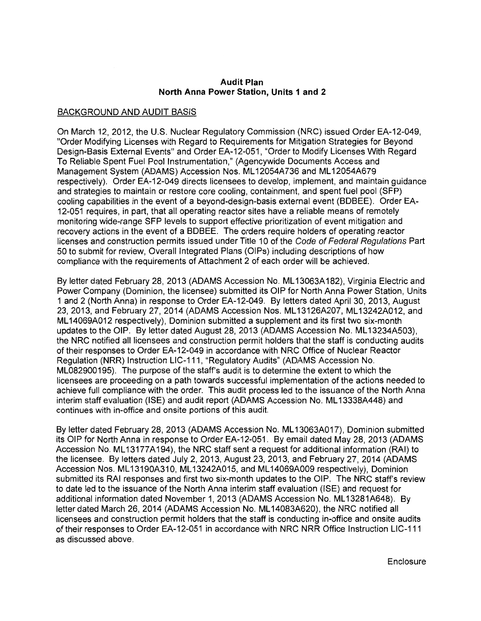#### **Audit Plan North Anna Power Station, Units 1 and 2**

# BACKGROUND AND AUDIT BASIS

On March 12, 2012, the U.S. Nuclear Regulatory Commission (NRC) issued Order EA-12-049, "Order Modifying Licenses with Regard to Requirements for Mitigation Strategies for Beyond Design-Basis External Events" and Order EA-12-051, "Order to Modify Licenses With Regard To Reliable Spent Fuel Pool Instrumentation," (Agencywide Documents Access and Management System (ADAMS) Accession Nos. ML 12054A736 and ML 12054A679 respectively). Order EA-12-049 directs licensees to develop, implement, and maintain guidance and strategies to maintain or restore core cooling, containment, and spent fuel pool (SFP) cooling capabilities in the event of a beyond-design-basis external event (BDBEE). Order EA-12-051 requires, in part, that all operating reactor sites have a reliable means of remotely monitoring wide-range SFP levels to support effective prioritization of event mitigation and recovery actions in the event of a BDBEE. The orders require holders of operating reactor licenses and construction permits issued under Title 10 of the Code of Federal Regulations Part 50 to submit for review, Overall Integrated Plans (OIPs) including descriptions of how compliance with the requirements of Attachment 2 of each order will be achieved.

By letter dated February 28, 2013 (ADAMS Accession No. ML 13063A 182), Virginia Electric and Power Company (Dominion, the licensee) submitted its OIP for North Anna Power Station, Units 1 and 2 (North Anna) in response to Order EA-12-049. By letters dated April 30, 2013, August 23, 2013, and February 27, 2014 (ADAMS Accession Nos. ML 13126A207, ML 13242A012, and ML 14069A012 respectively), Dominion submitted a supplement and its first two six-month updates to the OIP. By letter dated August 28, 2013 (ADAMS Accession No. ML13234A503), the NRC notified all licensees and construction permit holders that the staff is conducting audits oftheir responses to Order EA-12-049 in accordance with NRC Office of Nuclear Reactor Regulation (NRR) Instruction LIC-111, "Regulatory Audits" (ADAMS Accession No. ML082900195). The purpose of the staff's audit is to determine the extent to which the licensees are proceeding on a path towards successful implementation of the actions needed to achieve full compliance with the order. This audit process led to the issuance of the North Anna interim staff evaluation (ISE) and audit report (ADAMS Accession No. ML13338A448) and continues with in-office and onsite portions of this audit.

By letter dated February 28, 2013 (ADAMS Accession No. ML 13063A017), Dominion submitted its OIP for North Anna in response to Order EA-12-051. By email dated May 28, 2013 (ADAMS Accession No. ML13177A194), the NRC staff sent a request for additional information (RAI) to the licensee. By letters dated July 2, 2013, August 23, 2013, and February 27, 2014 (ADAMS Accession Nos. ML 13190A310, ML 13242A015, and ML 14069A009 respectively), Dominion submitted its RAI responses and first two six-month updates to the OIP. The NRC staff's review to date led to the issuance of the North Anna interim staff evaluation (ISE) and request for additional information dated November 1, 2013 (ADAMS Accession No. ML13281A648). By letter dated March 26, 2014 (ADAMS Accession No. ML 14083A620), the NRC notified all licensees and construction permit holders that the staff is conducting in-office and onsite audits of their responses to Order EA-12-051 in accordance with NRC NRR Office Instruction LIC-111 as discussed above.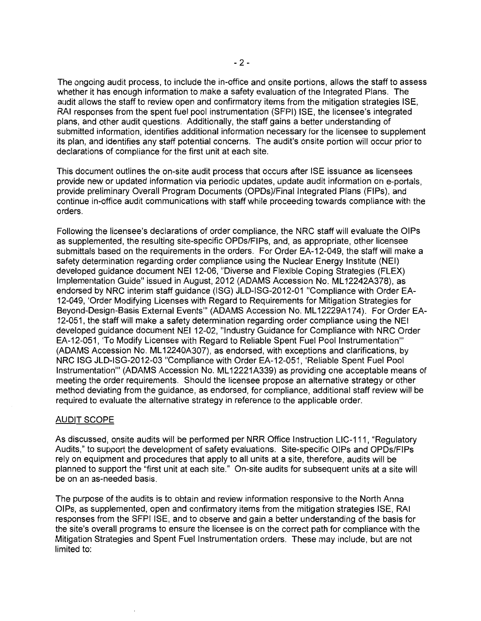The ongoing audit process, to include the in-office and onsite portions, allows the staff to assess whether it has enough information to make a safety evaluation of the Integrated Plans. The audit allows the staff to review open and confirmatory items from the mitigation strategies ISE, RAI responses from the spent fuel pool instrumentation (SFPI) ISE, the licensee's integrated plans, and other audit questions. Additionally, the staff gains a better understanding of submitted information, identifies additional information necessary for the licensee to supplement its plan, and identifies any staff potential concerns. The audit's onsite portion will occur prior to declarations of compliance for the first unit at each site.

This document outlines the on-site audit process that occurs after ISE issuance as licensees provide new or updated information via periodic updates, update audit information on e-portals, provide preliminary Overall Program Documents (OPDs)/Final Integrated Plans (FIPs), and continue in-office audit communications with staff while proceeding towards compliance with the orders.

Following the licensee's declarations of order compliance, the NRC staff will evaluate the OIPs as supplemented, the resulting site-specific OPDs/FIPs, and, as appropriate, other licensee submittals based on the requirements in the orders. For Order EA-12-049, the staff will make a safety determination regarding order compliance using the Nuclear Energy Institute (NEI) developed guidance document NEI 12-06, "Diverse and Flexible Coping Strategies (FLEX) Implementation Guide" issued in August, 2012 (ADAMS Accession No. ML 12242A378), as endorsed by NRC interim staff guidance (ISG) JLD-ISG-2012-01 "Compliance with Order EA-12-049, 'Order Modifying Licenses with Regard to Requirements for Mitigation Strategies for Beyond-Design-Basis External Events"' (ADAMS Accession No. ML 12229A174). For Order EA-12-051, the staff will make a safety determination regarding order compliance using the NEI developed guidance document NEI 12-02, "Industry Guidance for Compliance with NRC Order EA-12-051, 'To Modify Licenses with Regard to Reliable Spent Fuel Pool Instrumentation'" (ADAMS Accession No. ML 12240A307), as endorsed, with exceptions and clarifications, by NRC ISG JLD-ISG-2012-03 "Compliance with Order EA-12-051, 'Reliable Spent Fuel Pool Instrumentation'" (ADAMS Accession No. ML 12221A339) as providing one acceptable means of meeting the order requirements. Should the licensee propose an alternative strategy or other method deviating from the guidance, as endorsed, for compliance, additional staff review will be required to evaluate the alternative strategy in reference to the applicable order.

#### AUDIT SCOPE

As discussed, onsite audits will be performed per NRR Office Instruction LIC-111, "Regulatory Audits," to support the development of safety evaluations. Site-specific OIPs and OPDs/FIPs rely on equipment and procedures that apply to all units at a site, therefore, audits will be planned to support the "first unit at each site." On-site audits for subsequent units at a site will be on an as-needed basis.

The purpose of the audits is to obtain and review information responsive to the North Anna OIPs, as supplemented, open and confirmatory items from the mitigation strategies ISE, RAI responses from the SFPI ISE, and to observe and gain a better understanding of the basis for the site's overall programs to ensure the licensee is on the correct path for compliance with the Mitigation Strategies and Spent Fuel Instrumentation orders. These may include, but are not limited to: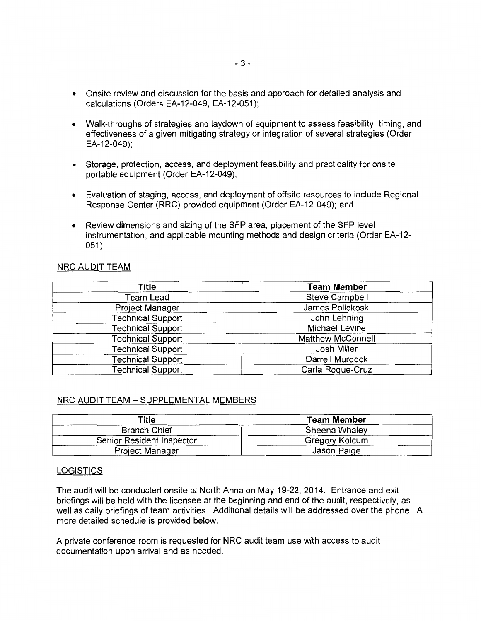- Onsite review and discussion for the basis and approach for detailed analysis and calculations (Orders EA-12-049, EA-12-051 );
- Walk-throughs of strategies and laydown of equipment to assess feasibility, timing, and effectiveness of a given mitigating strategy or integration of several strategies (Order EA-12-049);
- Storage, protection, access, and deployment feasibility and practicality for onsite portable equipment (Order EA-12-049);
- Evaluation of staging, access, and deployment of offsite resources to include Regional Response Center (RRC) provided equipment (Order EA-12-049); and
- Review dimensions and sizing of the SFP area, placement of the SFP level instrumentation, and applicable mounting methods and design criteria (Order EA-12-  $051$ ).

# NRC AUDIT TEAM

| Title                    | <b>Team Member</b>       |  |
|--------------------------|--------------------------|--|
| Team Lead                | <b>Steve Campbell</b>    |  |
| Project Manager          | James Polickoski         |  |
| <b>Technical Support</b> | John Lehning             |  |
| <b>Technical Support</b> | Michael Levine           |  |
| <b>Technical Support</b> | <b>Matthew McConnell</b> |  |
| <b>Technical Support</b> | Josh Miller              |  |
| <b>Technical Support</b> | <b>Darrell Murdock</b>   |  |
| <b>Technical Support</b> | Carla Roque-Cruz         |  |

## NRC AUDIT TEAM- SUPPLEMENTAL MEMBERS

| Title                     | <b>Team Member</b> |  |
|---------------------------|--------------------|--|
| <b>Branch Chief</b>       | Sheena Whaley      |  |
| Senior Resident Inspector | Gregory Kolcum     |  |
| Project Manager           | Jason Paige        |  |

#### **LOGISTICS**

The audit will be conducted onsite at North Anna on May 19-22, 2014. Entrance and exit briefings will be held with the licensee at the beginning and end of the audit, respectively, as well as daily briefings of team activities. Additional details will be addressed over the phone. A more detailed schedule is provided below.

A private conference room is requested for NRC audit team use with access to audit documentation upon arrival and as needed.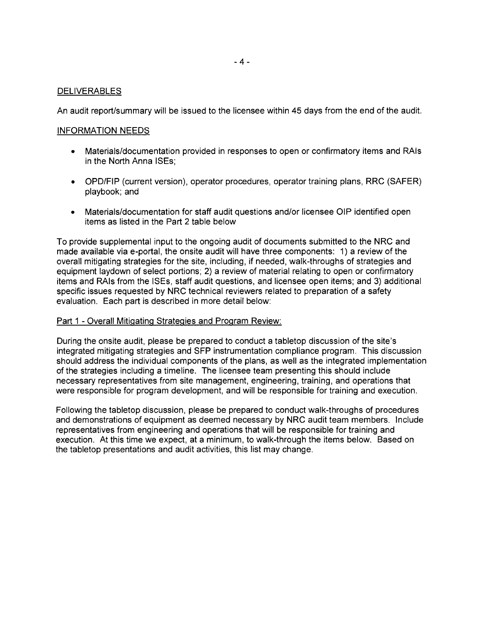## **DELIVERABLES**

An audit report/summary will be issued to the licensee within 45 days from the end of the audit.

## INFORMATION NEEDS

- Materials/documentation provided in responses to open or confirmatory items and RAis in the North Anna ISEs;
- OPD/FIP (current version), operator procedures, operator training plans, RRC (SAFER) playbook; and
- Materials/documentation for staff audit questions and/or licensee OIP identified open items as listed in the Part 2 table below

To provide supplemental input to the ongoing audit of documents submitted to the NRC and made available via e-portal, the onsite audit will have three components: 1) a review of the overall mitigating strategies for the site, including, if needed, walk-throughs of strategies and equipment laydown of select portions; 2) a review of material relating to open or confirmatory items and RAis from the ISEs, staff audit questions, and licensee open items; and 3) additional specific issues requested by NRC technical reviewers related to preparation of a safety evaluation. Each part is described in more detail below:

#### Part 1 - Overall Mitigating Strategies and Program Review:

During the onsite audit, please be prepared to conduct a tabletop discussion of the site's integrated mitigating strategies and SFP instrumentation compliance program. This discussion should address the individual components of the plans, as well as the integrated implementation of the strategies including a timeline. The licensee team presenting this should include necessary representatives from site management, engineering, training, and operations that were responsible for program development, and will be responsible for training and execution.

Following the tabletop discussion, please be prepared to conduct walk-throughs of procedures and demonstrations of equipment as deemed necessary by NRC audit team members. Include representatives from engineering and operations that will be responsible for training and execution. At this time we expect, at a minimum, to walk-through the items below. Based on the tabletop presentations and audit activities, this list may change.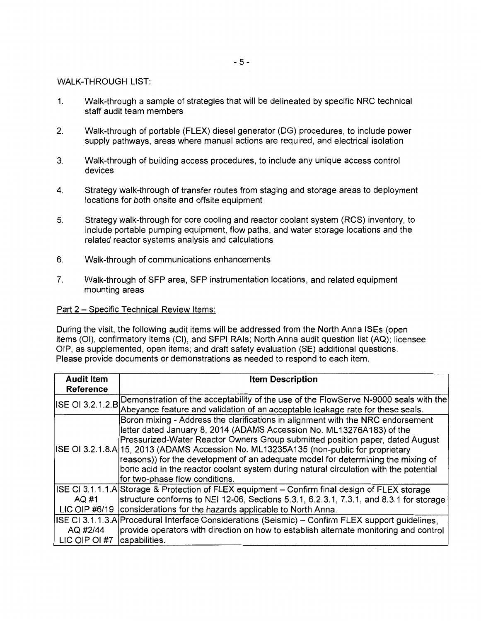## WALK-THROUGH LIST:

- 1. Walk-through a sample of strategies that will be delineated by specific NRC technical staff audit team members
- 2. Walk-through of portable (FLEX) diesel generator (DG) procedures, to include power supply pathways, areas where manual actions are required, and electrical isolation
- 3. Walk-through of building access procedures, to include any unique access control devices
- 4. Strategy walk-through of transfer routes from staging and storage areas to deployment locations for both onsite and offsite equipment
- 5. Strategy walk-through for core cooling and reactor coolant system (RCS) inventory, to include portable pumping equipment, flow paths, and water storage locations and the related reactor systems analysis and calculations
- 6. Walk-through of communications enhancements
- 7. Walk-through of SFP area, SFP instrumentation locations, and related equipment mounting areas

## Part 2 - Specific Technical Review Items:

During the visit, the following audit items will be addressed from the North Anna ISEs {open items (01), confirmatory items (CI), and SFPI RAis; North Anna audit question list (AQ); licensee OIP, as supplemented, open items; and draft safety evaluation (SE) additional questions. Please provide documents or demonstrations as needed to respond to each item.

| <b>Audit Item</b>       | <b>Item Description</b>                                                                                                                                                                                                                                                                                                                                                                                                                                                                                                                             |  |  |
|-------------------------|-----------------------------------------------------------------------------------------------------------------------------------------------------------------------------------------------------------------------------------------------------------------------------------------------------------------------------------------------------------------------------------------------------------------------------------------------------------------------------------------------------------------------------------------------------|--|--|
| Reference               |                                                                                                                                                                                                                                                                                                                                                                                                                                                                                                                                                     |  |  |
| <b>ISE OI 3.2.1.2.B</b> | Demonstration of the acceptability of the use of the FlowServe N-9000 seals with the<br>Abeyance feature and validation of an acceptable leakage rate for these seals.                                                                                                                                                                                                                                                                                                                                                                              |  |  |
|                         | Boron mixing - Address the clarifications in alignment with the NRC endorsement<br>letter dated January 8, 2014 (ADAMS Accession No. ML13276A183) of the<br>Pressurized-Water Reactor Owners Group submitted position paper, dated August<br>ISE OI 3.2.1.8.A 15, 2013 (ADAMS Accession No. ML13235A135 (non-public for proprietary<br>reasons)) for the development of an adequate model for determining the mixing of<br>boric acid in the reactor coolant system during natural circulation with the potential<br>for two-phase flow conditions. |  |  |
|                         | ISE CI 3.1.1.1.A Storage & Protection of FLEX equipment - Confirm final design of FLEX storage                                                                                                                                                                                                                                                                                                                                                                                                                                                      |  |  |
| AQ #1                   | structure conforms to NEI 12-06, Sections 5.3.1, 6.2.3.1, 7.3.1, and 8.3.1 for storage                                                                                                                                                                                                                                                                                                                                                                                                                                                              |  |  |
| LIC OIP #6/19           | considerations for the hazards applicable to North Anna.                                                                                                                                                                                                                                                                                                                                                                                                                                                                                            |  |  |
|                         | ISE CI 3.1.1.3.A Procedural Interface Considerations (Seismic) – Confirm FLEX support guidelines,                                                                                                                                                                                                                                                                                                                                                                                                                                                   |  |  |
| AQ #2/44                | provide operators with direction on how to establish alternate monitoring and control                                                                                                                                                                                                                                                                                                                                                                                                                                                               |  |  |
| LIC OIP OI #7           | capabilities.                                                                                                                                                                                                                                                                                                                                                                                                                                                                                                                                       |  |  |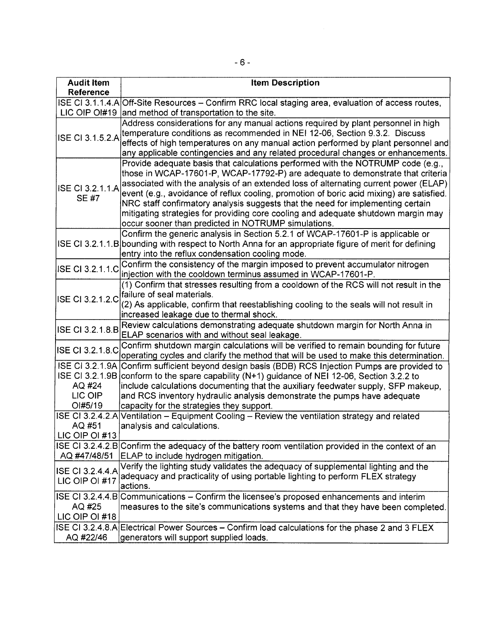| <b>Audit Item</b><br>Reference                         | <b>Item Description</b>                                                                                                                                                                                                                                                                                                                                                                                                                                                                                                                                                              |  |  |  |  |
|--------------------------------------------------------|--------------------------------------------------------------------------------------------------------------------------------------------------------------------------------------------------------------------------------------------------------------------------------------------------------------------------------------------------------------------------------------------------------------------------------------------------------------------------------------------------------------------------------------------------------------------------------------|--|--|--|--|
|                                                        | ISE CI 3.1.1.4.A Off-Site Resources - Confirm RRC local staging area, evaluation of access routes,<br>LIC OIP OI#19 and method of transportation to the site.                                                                                                                                                                                                                                                                                                                                                                                                                        |  |  |  |  |
| ISE CI 3.1.5.2.A                                       | Address considerations for any manual actions required by plant personnel in high<br>temperature conditions as recommended in NEI 12-06, Section 9.3.2. Discuss<br>effects of high temperatures on any manual action performed by plant personnel and<br>any applicable contingencies and any related procedural changes or enhancements.                                                                                                                                                                                                                                            |  |  |  |  |
| ISE CI 3.2.1.1.A<br>SE #7                              | Provide adequate basis that calculations performed with the NOTRUMP code (e.g.,<br>those in WCAP-17601-P, WCAP-17792-P) are adequate to demonstrate that criteria<br>associated with the analysis of an extended loss of alternating current power (ELAP)<br>event (e.g., avoidance of reflux cooling, promotion of boric acid mixing) are satisfied.<br>NRC staff confirmatory analysis suggests that the need for implementing certain<br>mitigating strategies for providing core cooling and adequate shutdown margin may<br>occur sooner than predicted in NOTRUMP simulations. |  |  |  |  |
|                                                        | Confirm the generic analysis in Section 5.2.1 of WCAP-17601-P is applicable or<br>ISE CI 3.2.1.1.B bounding with respect to North Anna for an appropriate figure of merit for defining<br>entry into the reflux condensation cooling mode.                                                                                                                                                                                                                                                                                                                                           |  |  |  |  |
| ISE CI 3.2.1.1.C                                       | Confirm the consistency of the margin imposed to prevent accumulator nitrogen<br>injection with the cooldown terminus assumed in WCAP-17601-P.                                                                                                                                                                                                                                                                                                                                                                                                                                       |  |  |  |  |
|                                                        | (1) Confirm that stresses resulting from a cooldown of the RCS will not result in the<br>ISE CI 3.2.1.2.C failure of seal materials.<br>(2) As applicable, confirm that reestablishing cooling to the seals will not result in<br>increased leakage due to thermal shock.                                                                                                                                                                                                                                                                                                            |  |  |  |  |
| <b>ISE CI 3.2.1.8.B</b>                                | Review calculations demonstrating adequate shutdown margin for North Anna in<br>ELAP scenarios with and without seal leakage.                                                                                                                                                                                                                                                                                                                                                                                                                                                        |  |  |  |  |
| ISE CI 3.2.1.8.C                                       | Confirm shutdown margin calculations will be verified to remain bounding for future<br>operating cycles and clarify the method that will be used to make this determination.                                                                                                                                                                                                                                                                                                                                                                                                         |  |  |  |  |
| <b>ISE CI 3.2.1.9B</b><br>AQ #24<br>LIC OIP<br>OI#5/19 | ISE CI 3.2.1.9A Confirm sufficient beyond design basis (BDB) RCS Injection Pumps are provided to<br>conform to the spare capability (N+1) guidance of NEI 12-06, Section 3.2.2 to<br>include calculations documenting that the auxiliary feedwater supply, SFP makeup,<br>and RCS inventory hydraulic analysis demonstrate the pumps have adequate<br>capacity for the strategies they support.                                                                                                                                                                                      |  |  |  |  |
| ISE CI 3.2.4.2.A<br>AQ #51<br>LIC OIP OI #13           | Ventilation – Equipment Cooling – Review the ventilation strategy and related<br>analysis and calculations.                                                                                                                                                                                                                                                                                                                                                                                                                                                                          |  |  |  |  |
| AQ #47/48/51                                           | ISE CI 3.2.4.2.B Confirm the adequacy of the battery room ventilation provided in the context of an<br>ELAP to include hydrogen mitigation.                                                                                                                                                                                                                                                                                                                                                                                                                                          |  |  |  |  |
| ISE CI 3.2.4.4.A<br>LIC OIP OI #17                     | Verify the lighting study validates the adequacy of supplemental lighting and the<br>adequacy and practicality of using portable lighting to perform FLEX strategy<br>actions.                                                                                                                                                                                                                                                                                                                                                                                                       |  |  |  |  |
| AQ #25<br>LIC OIP OI #18                               | ISE CI 3.2.4.4.B Communications – Confirm the licensee's proposed enhancements and interim<br>measures to the site's communications systems and that they have been completed.                                                                                                                                                                                                                                                                                                                                                                                                       |  |  |  |  |
| AQ #22/46                                              | ISE CI 3.2.4.8.A Electrical Power Sources - Confirm load calculations for the phase 2 and 3 FLEX<br>generators will support supplied loads.                                                                                                                                                                                                                                                                                                                                                                                                                                          |  |  |  |  |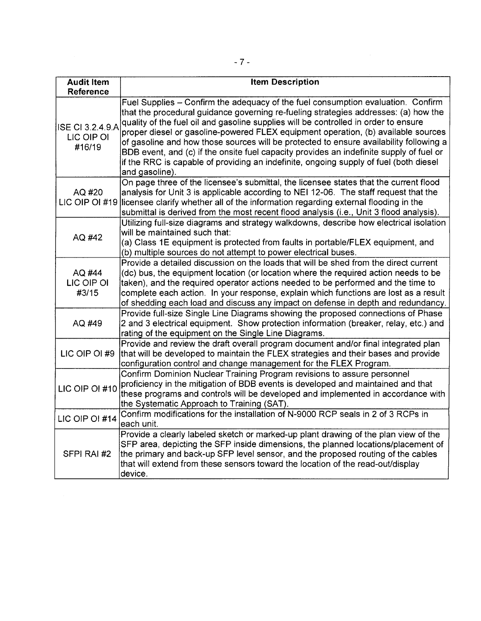| <b>Audit Item</b><br><b>Reference</b>           | <b>Item Description</b>                                                                                                                                                                                                                                                                                                                                                                                                                                                                                                                                                                                                                             |  |  |  |  |
|-------------------------------------------------|-----------------------------------------------------------------------------------------------------------------------------------------------------------------------------------------------------------------------------------------------------------------------------------------------------------------------------------------------------------------------------------------------------------------------------------------------------------------------------------------------------------------------------------------------------------------------------------------------------------------------------------------------------|--|--|--|--|
| <b>ISE CI 3.2.4.9.A</b><br>LIC OIP OI<br>#16/19 | Fuel Supplies - Confirm the adequacy of the fuel consumption evaluation. Confirm<br>that the procedural guidance governing re-fueling strategies addresses: (a) how the<br>quality of the fuel oil and gasoline supplies will be controlled in order to ensure<br>proper diesel or gasoline-powered FLEX equipment operation, (b) available sources<br>of gasoline and how those sources will be protected to ensure availability following a<br>BDB event, and (c) if the onsite fuel capacity provides an indefinite supply of fuel or<br>if the RRC is capable of providing an indefinite, ongoing supply of fuel (both diesel<br>and gasoline). |  |  |  |  |
| AQ #20<br>LIC OIP OI #19                        | On page three of the licensee's submittal, the licensee states that the current flood<br>analysis for Unit 3 is applicable according to NEI 12-06. The staff request that the<br>licensee clarify whether all of the information regarding external flooding in the<br>submittal is derived from the most recent flood analysis (i.e., Unit 3 flood analysis).                                                                                                                                                                                                                                                                                      |  |  |  |  |
| AQ #42                                          | Utilizing full-size diagrams and strategy walkdowns, describe how electrical isolation<br>will be maintained such that:<br>(a) Class 1E equipment is protected from faults in portable/FLEX equipment, and<br>(b) multiple sources do not attempt to power electrical buses.                                                                                                                                                                                                                                                                                                                                                                        |  |  |  |  |
| AQ #44<br>LIC OIP OI<br>#3/15                   | Provide a detailed discussion on the loads that will be shed from the direct current<br>(dc) bus, the equipment location (or location where the required action needs to be<br>taken), and the required operator actions needed to be performed and the time to<br>complete each action. In your response, explain which functions are lost as a result<br>of shedding each load and discuss any impact on defense in depth and redundancy.                                                                                                                                                                                                         |  |  |  |  |
| AQ #49                                          | Provide full-size Single Line Diagrams showing the proposed connections of Phase<br>2 and 3 electrical equipment. Show protection information (breaker, relay, etc.) and<br>rating of the equipment on the Single Line Diagrams.                                                                                                                                                                                                                                                                                                                                                                                                                    |  |  |  |  |
| LIC OIP OI #9                                   | Provide and review the draft overall program document and/or final integrated plan<br>that will be developed to maintain the FLEX strategies and their bases and provide<br>configuration control and change management for the FLEX Program.                                                                                                                                                                                                                                                                                                                                                                                                       |  |  |  |  |
| LIC OIP OI #10                                  | Confirm Dominion Nuclear Training Program revisions to assure personnel<br>proficiency in the mitigation of BDB events is developed and maintained and that<br>these programs and controls will be developed and implemented in accordance with<br>the Systematic Approach to Training (SAT).                                                                                                                                                                                                                                                                                                                                                       |  |  |  |  |
| LIC OIP OI #14                                  | Confirm modifications for the installation of N-9000 RCP seals in 2 of 3 RCPs in<br>each unit.                                                                                                                                                                                                                                                                                                                                                                                                                                                                                                                                                      |  |  |  |  |
| SFPI RAI #2                                     | Provide a clearly labeled sketch or marked-up plant drawing of the plan view of the<br>SFP area, depicting the SFP inside dimensions, the planned locations/placement of<br>the primary and back-up SFP level sensor, and the proposed routing of the cables<br>that will extend from these sensors toward the location of the read-out/display<br>device.                                                                                                                                                                                                                                                                                          |  |  |  |  |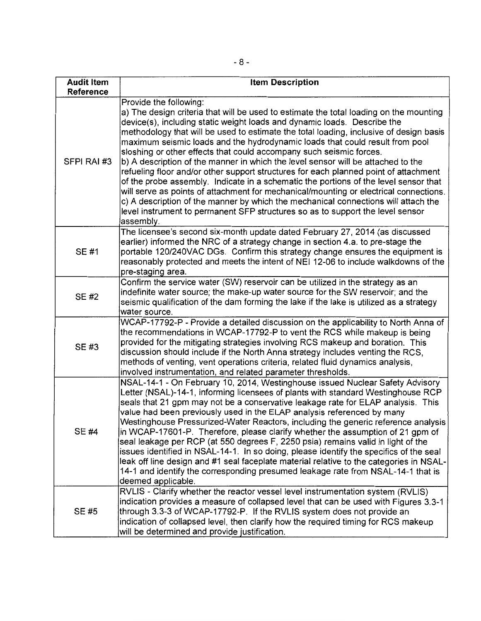| <b>Audit Item</b><br>Reference | <b>Item Description</b>                                                                                                                                                                                                                                                                                                                                                                                                                                                                                                                                                                                                                                                                                                                                                                                                                                                                                                                                                                         |  |  |  |
|--------------------------------|-------------------------------------------------------------------------------------------------------------------------------------------------------------------------------------------------------------------------------------------------------------------------------------------------------------------------------------------------------------------------------------------------------------------------------------------------------------------------------------------------------------------------------------------------------------------------------------------------------------------------------------------------------------------------------------------------------------------------------------------------------------------------------------------------------------------------------------------------------------------------------------------------------------------------------------------------------------------------------------------------|--|--|--|
| SFPI RAI #3                    | Provide the following:<br>a) The design criteria that will be used to estimate the total loading on the mounting<br>device(s), including static weight loads and dynamic loads. Describe the<br>methodology that will be used to estimate the total loading, inclusive of design basis<br>maximum seismic loads and the hydrodynamic loads that could result from pool<br>sloshing or other effects that could accompany such seismic forces.<br>b) A description of the manner in which the level sensor will be attached to the<br>refueling floor and/or other support structures for each planned point of attachment<br>of the probe assembly. Indicate in a schematic the portions of the level sensor that<br>will serve as points of attachment for mechanical/mounting or electrical connections.<br>c) A description of the manner by which the mechanical connections will attach the<br>level instrument to permanent SFP structures so as to support the level sensor<br>assembly. |  |  |  |
| SE #1                          | The licensee's second six-month update dated February 27, 2014 (as discussed<br>earlier) informed the NRC of a strategy change in section 4.a. to pre-stage the<br>portable 120/240VAC DGs. Confirm this strategy change ensures the equipment is<br>reasonably protected and meets the intent of NEI 12-06 to include walkdowns of the<br>pre-staging area.                                                                                                                                                                                                                                                                                                                                                                                                                                                                                                                                                                                                                                    |  |  |  |
| <b>SE#2</b>                    | Confirm the service water (SW) reservoir can be utilized in the strategy as an<br>indefinite water source; the make-up water source for the SW reservoir; and the<br>seismic qualification of the dam forming the lake if the lake is utilized as a strategy<br>water source.                                                                                                                                                                                                                                                                                                                                                                                                                                                                                                                                                                                                                                                                                                                   |  |  |  |
| SE #3                          | WCAP-17792-P - Provide a detailed discussion on the applicability to North Anna of<br>the recommendations in WCAP-17792-P to vent the RCS while makeup is being<br>provided for the mitigating strategies involving RCS makeup and boration. This<br>discussion should include if the North Anna strategy includes venting the RCS,<br>methods of venting, vent operations criteria, related fluid dynamics analysis,<br>involved instrumentation, and related parameter thresholds.                                                                                                                                                                                                                                                                                                                                                                                                                                                                                                            |  |  |  |
| SE #4                          | NSAL-14-1 - On February 10, 2014, Westinghouse issued Nuclear Safety Advisory<br>Letter (NSAL)-14-1, informing licensees of plants with standard Westinghouse RCP<br>seals that 21 gpm may not be a conservative leakage rate for ELAP analysis. This<br>value had been previously used in the ELAP analysis referenced by many<br>Westinghouse Pressurized-Water Reactors, including the generic reference analysis<br>in WCAP-17601-P. Therefore, please clarify whether the assumption of 21 gpm of<br>seal leakage per RCP (at 550 degrees F, 2250 psia) remains valid in light of the<br>issues identified in NSAL-14-1. In so doing, please identify the specifics of the seal<br>leak off line design and #1 seal faceplate material relative to the categories in NSAL-<br>14-1 and identify the corresponding presumed leakage rate from NSAL-14-1 that is<br>deemed applicable.                                                                                                       |  |  |  |
| SE #5                          | RVLIS - Clarify whether the reactor vessel level instrumentation system (RVLIS)<br>indication provides a measure of collapsed level that can be used with Figures 3.3-1<br>through 3.3-3 of WCAP-17792-P. If the RVLIS system does not provide an<br>indication of collapsed level, then clarify how the required timing for RCS makeup<br>will be determined and provide justification.                                                                                                                                                                                                                                                                                                                                                                                                                                                                                                                                                                                                        |  |  |  |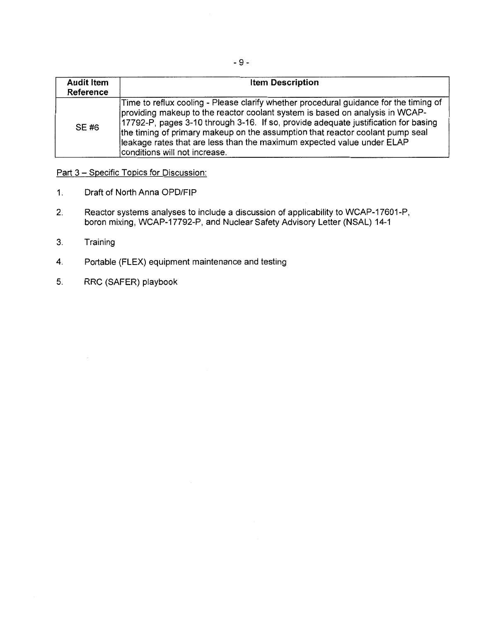| <b>Audit Item</b><br>Reference | <b>Item Description</b>                                                                                                                                                                                                                                                                                                                                                                                                                                  |  |  |
|--------------------------------|----------------------------------------------------------------------------------------------------------------------------------------------------------------------------------------------------------------------------------------------------------------------------------------------------------------------------------------------------------------------------------------------------------------------------------------------------------|--|--|
| SE #6                          | Time to reflux cooling - Please clarify whether procedural guidance for the timing of<br>providing makeup to the reactor coolant system is based on analysis in WCAP-<br>17792-P, pages 3-10 through 3-16. If so, provide adequate justification for basing<br>the timing of primary makeup on the assumption that reactor coolant pump seal<br>lleakage rates that are less than the maximum expected value under ELAP<br>conditions will not increase. |  |  |

# Part 3 - Specific Topics for Discussion:

- 1. Draft of North Anna OPD/FIP
- 2. Reactor systems analyses to include a discussion of applicability to WCAP-17601-P, boron mixing, WCAP-17792-P, and Nuclear Safety Advisory Letter (NSAL) 14-1
- 3. Training
- 4. Portable (FLEX) equipment maintenance and testing
- 5. RRC (SAFER) playbook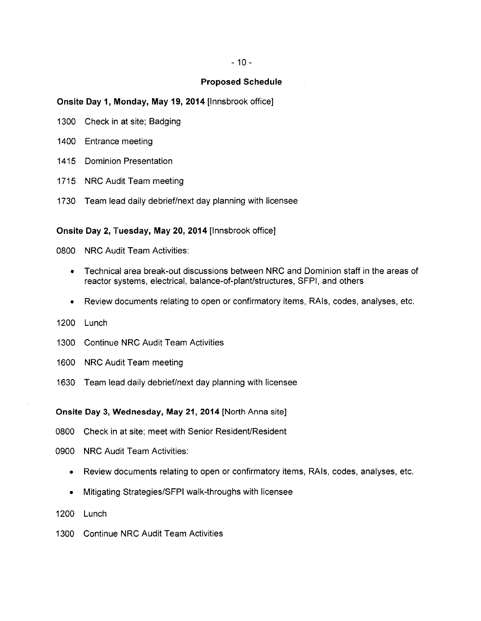#### **Proposed Schedule**

#### **Onsite Day 1, Monday, May 19, 2014** [lnnsbrook office]

- 1300 Check in at site; Badging
- 1400 Entrance meeting
- 1415 Dominion Presentation
- 1715 NRC Audit Team meeting
- 1730 Team lead daily debrief/next day planning with licensee

# **Onsite Day 2, Tuesday, May 20, 2014** [lnnsbrook office]

0800 NRC Audit Team Activities:

- Technical area break-out discussions between NRC and Dominion staff in the areas of reactor systems, electrical, balance-of-plant/structures, SFPI, and others
- Review documents relating to open or confirmatory items, RAis, codes, analyses, etc.
- 1200 Lunch
- 1300 Continue NRC Audit Team Activities
- 1600 NRC Audit Team meeting
- 1630 Team lead daily debrief/next day planning with licensee

**Onsite Day 3, Wednesday, May 21, 2014** [North Anna site]

- 0800 Check in at site; meet with Senior Resident/Resident
- 0900 NRC Audit Team Activities:
	- Review documents relating to open or confirmatory items, RAis, codes, analyses, etc.
	- Mitigating Strategies/SFPI walk-throughs with licensee
- 1200 Lunch
- 1300 Continue NRC Audit Team Activities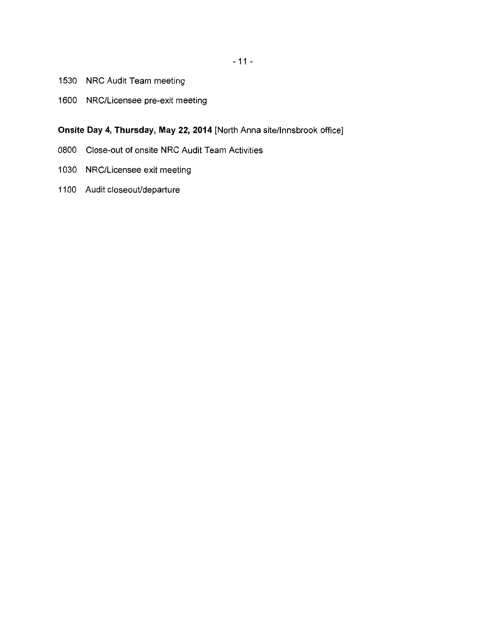- 1530 NRC Audit Team meeting
- 1600 NRC/Licensee pre-exit meeting

# **Onsite Day 4, Thursday, May 22, 2014** [North Anna site/lnnsbrook office]

- 0800 Close-out of onsite NRC Audit Team Activities
- 1030 NRC/Licensee exit meeting
- 1100 Audit closeout/departure